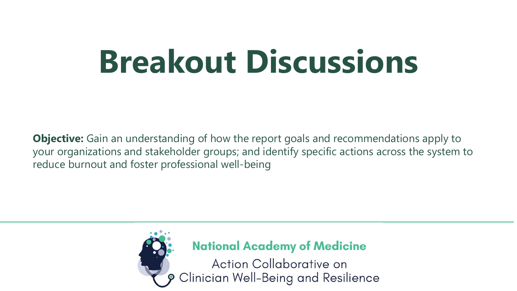# **Breakout Discussions**

**Objective:** Gain an understanding of how the report goals and recommendations apply to your organizations and stakeholder groups; and identify specific actions across the system to reduce burnout and foster professional well-being



**National Academy of Medicine** 

Action Collaborative on Clinician Well-Being and Resilience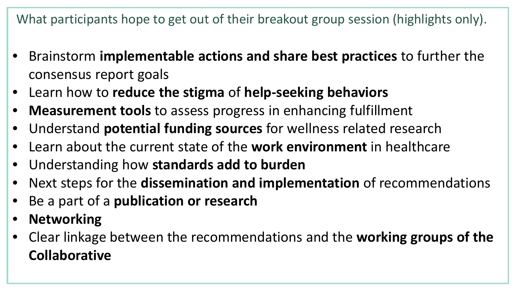What participants hope to get out of their breakout group session (highlights only).

- Brainstorm **implementable actions and share best practices** to further the consensus report goals
- Learn how to **reduce the stigma** of **help-seeking behaviors**
- **Measurement tools** to assess progress in enhancing fulfillment
- Understand **potential funding sources** for wellness related research
- Learn about the current state of the **work environment** in healthcare
- Understanding how **standards add to burden**
- Next steps for the **dissemination and implementation** of recommendations
- Be a part of a **publication or research**
- **Networking**
- Clear linkage between the recommendations and the **working groups of the Collaborative**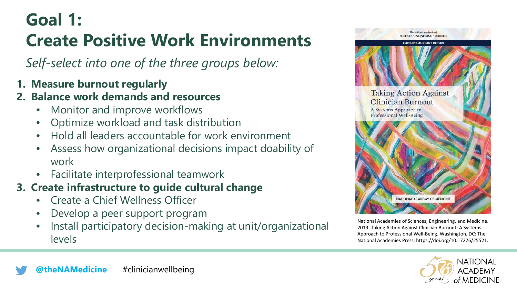# **Goal 1:**

# **Create Positive Work Environments**

*Self-select into one of the three groups below:* 

**1. Measure burnout regularly**

#### **2. Balance work demands and resources**

- Monitor and improve workflows
- Optimize workload and task distribution
- Hold all leaders accountable for work environment
- Assess how organizational decisions impact doability of work
- Facilitate interprofessional teamwork

### **3. Create infrastructure to guide cultural change**

- Create a Chief Wellness Officer
- Develop a peer support program
- Install participatory decision-making at unit/organizational levels



National Academies of Sciences, Engineering, and Medicine. 2019. Taking Action Against Clinician Burnout: A Systems Approach to Professional Well-Being. Washington, DC: The National Academies Press. https://doi.org/10.17226/25521.



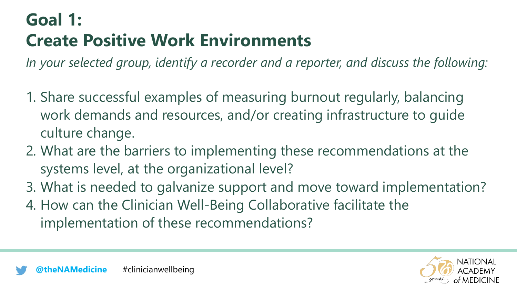# **Goal 1: Create Positive Work Environments**

*In your selected group, identify a recorder and a reporter, and discuss the following:* 

- 1. Share successful examples of measuring burnout regularly, balancing work demands and resources, and/or creating infrastructure to guide culture change.
- 2. What are the barriers to implementing these recommendations at the systems level, at the organizational level?
- 3. What is needed to galvanize support and move toward implementation?
- 4. How can the Clinician Well-Being Collaborative facilitate the implementation of these recommendations?

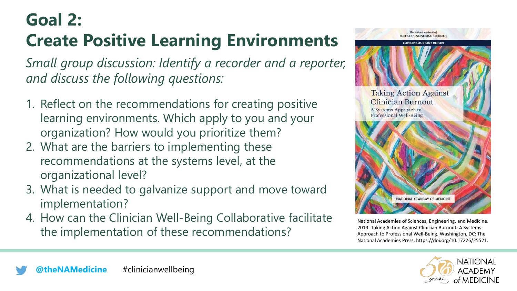## **Goal 2:**

# **Create Positive Learning Environments**

- 1. Reflect on the recommendations for creating positive learning environments. Which apply to you and your organization? How would you prioritize them?
- 2. What are the barriers to implementing these recommendations at the systems level, at the organizational level?
- 3. What is needed to galvanize support and move toward implementation?
- 4. How can the Clinician Well-Being Collaborative facilitate the implementation of these recommendations?



National Academies of Sciences, Engineering, and Medicine. 2019. Taking Action Against Clinician Burnout: A Systems Approach to Professional Well-Being. Washington, DC: The National Academies Press. https://doi.org/10.17226/25521.

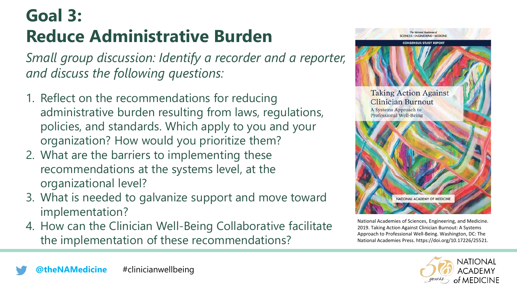# **Goal 3: Reduce Administrative Burden**

- 1. Reflect on the recommendations for reducing administrative burden resulting from laws, regulations, policies, and standards. Which apply to you and your organization? How would you prioritize them?
- 2. What are the barriers to implementing these recommendations at the systems level, at the organizational level?
- 3. What is needed to galvanize support and move toward implementation?
- 4. How can the Clinician Well-Being Collaborative facilitate the implementation of these recommendations?



National Academies of Sciences, Engineering, and Medicine. 2019. Taking Action Against Clinician Burnout: A Systems Approach to Professional Well-Being. Washington, DC: The National Academies Press. https://doi.org/10.17226/25521.



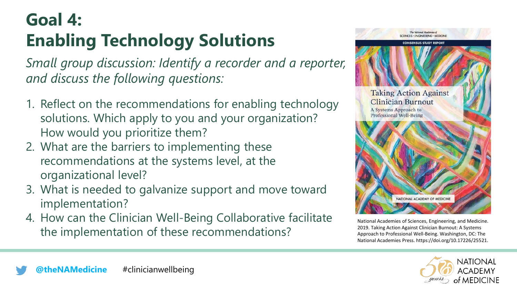# **Goal 4: Enabling Technology Solutions**

- 1. Reflect on the recommendations for enabling technology solutions. Which apply to you and your organization? How would you prioritize them?
- 2. What are the barriers to implementing these recommendations at the systems level, at the organizational level?
- 3. What is needed to galvanize support and move toward implementation?
- 4. How can the Clinician Well-Being Collaborative facilitate the implementation of these recommendations?



National Academies of Sciences, Engineering, and Medicine. 2019. Taking Action Against Clinician Burnout: A Systems Approach to Professional Well-Being. Washington, DC: The National Academies Press. https://doi.org/10.17226/25521.

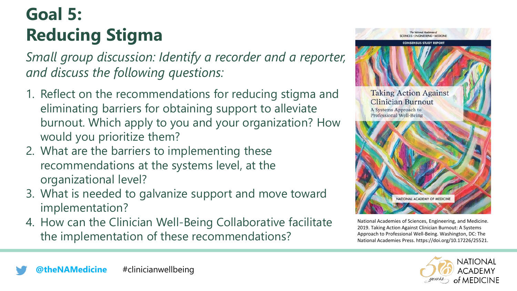# **Goal 5: Reducing Stigma**

- 1. Reflect on the recommendations for reducing stigma and eliminating barriers for obtaining support to alleviate burnout. Which apply to you and your organization? How would you prioritize them?
- 2. What are the barriers to implementing these recommendations at the systems level, at the organizational level?
- 3. What is needed to galvanize support and move toward implementation?
- 4. How can the Clinician Well-Being Collaborative facilitate the implementation of these recommendations?



National Academies of Sciences, Engineering, and Medicine. 2019. Taking Action Against Clinician Burnout: A Systems Approach to Professional Well-Being. Washington, DC: The National Academies Press. https://doi.org/10.17226/25521.